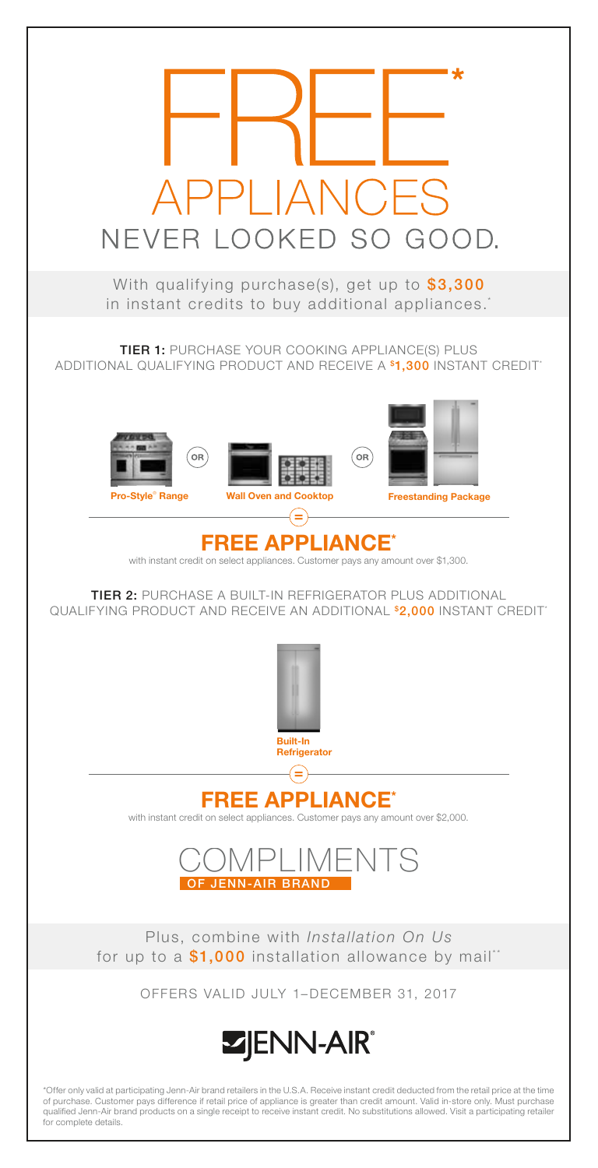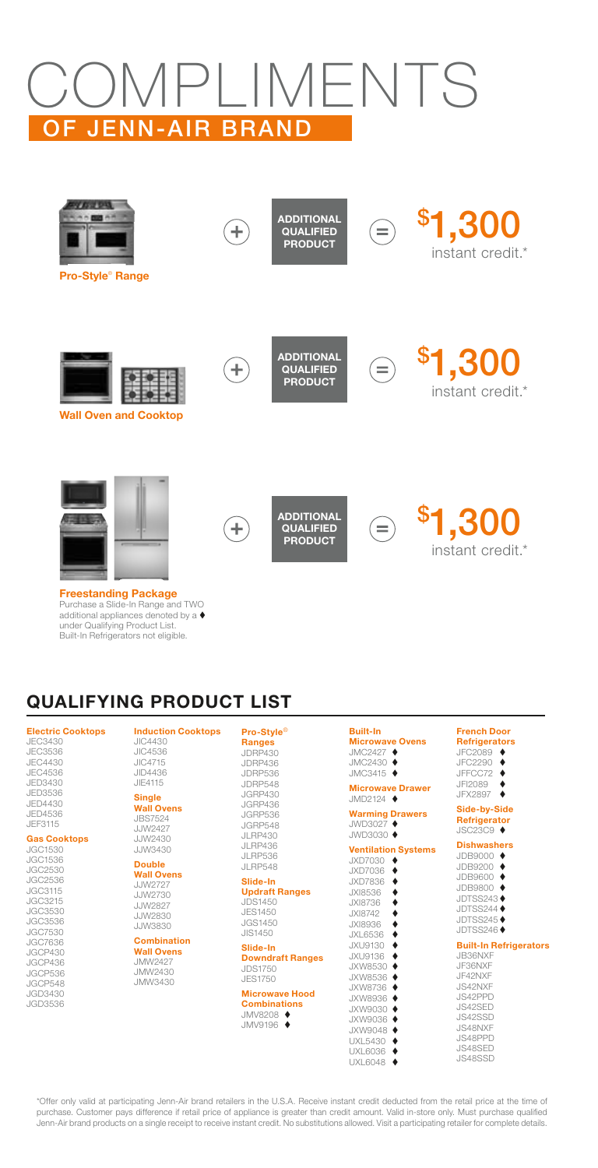# COMPLIMENTS OF JENN-AIR BRAND



Purchase a Slide-In Range and TWO additional appliances denoted by a under Qualifying Product List. Built-In Refrigerators not eligible.

## QUALIFYING PRODUCT LIST

### Electric Cooktops

JEC3430 JEC3536 JEC4430 JEC4536 JED3430 JED3536 JED4430 JED4536 JEF3115

### Gas Cooktops

JGC1530 JGC1536 JGC2530 JGC2536 JGC3115 JGC3215 JGC3530 JGC3536 JGC7530 JGC7636 JGCP430 JGCP436 JGCP536 JGCP548 JGD3430 JGD3536

### Induction Cooktops JIC4430 JIC4536 JIC4715 JID4436 JIE4115

### Single Wall Ovens

JBS7524 JJW2427 JJW2430 JJW3430

### Double Wall Ovens

JJW2727 JJW2730 JJW2827 JJW2830 JJW3830

### Combination Wall Ovens

JMW2427 JMW2430 JMW3430

### Pro-Style® Ranges

JDRP430 JDRP436 JDRP536 JDRP548 JGRP430 JGRP436 JGRP536 JGRP548 JLRP430 JLRP436 JLRP536 JLRP548

### Slide-In Updraft Ranges

JDS1450 JES1450 JGS1450 JIS1450

#### Slide-In Downdraft Ranges JDS1750 JES1750

Microwave Hood **Combinations** JMV8208 JMV9196  $\blacklozenge$ 

| <b>Built-In</b>        |  |
|------------------------|--|
| <b>Microwave Ovens</b> |  |
| $IMCOAO7$ $\triangle$  |  |

JMC2427 ♦<br>JMC2430 ♦ JMC3415 Microwave Drawer JMD2124 ♦ **Warming Drawers**<br>JWD3027 ♦

### $JWD3030 \triangleq$

Ventilation Systems<br>JXD7030 < JXD7030 JXD7036 <sup>+</sup> JXD7836 JXI8536 ♦<br>JXI8736 ♦ JXI8736 ◆ JXI8742 JXI8936 ♦<br>JXL6536 ♦ JXL6536 ♦<br>JXL6536 ♦ JXU9130 + JXU9136 JXW8530 ♦ JXW8536 JXW8736 JXW8936 ♦<br>JXW9030 ♦ JXW9036 ♦ JXW9048 ♦<br>UXL5430 ♦ UXL6036 UXL6048

### Refrigerators<br>JFC2089  $\blacklozenge$ JFC2290  $\triangle$ JFFCC72 JFI2089 ◆<br>JFX2897 ◆ JFX2897 Side-by-Side **Refrigerator** JSC23C9  $\triangleleft$ **Dishwashers** JDB9000 + JDB9200 JDB9600 ♦<br>JDB9800 ♦ JDB9800 JDTSS243 JDTSS244<sup>+</sup> JDTSS245 JDTSS246<sup>+</sup>

French Door

Built-In Refrigerators JB36NXF JF36NXF JF42NXF JS42NXF JS42PPD JS42SED JS42SSD

JS48NXF JS48PPD JS48SED JS48SSD

\*Offer only valid at participating Jenn-Air brand retailers in the U.S.A. Receive instant credit deducted from the retail price at the time of purchase. Customer pays difference if retail price of appliance is greater than credit amount. Valid in-store only. Must purchase qualified Jenn-Air brand products on a single receipt to receive instant credit. No substitutions allowed. Visit a participating retailer for complete details.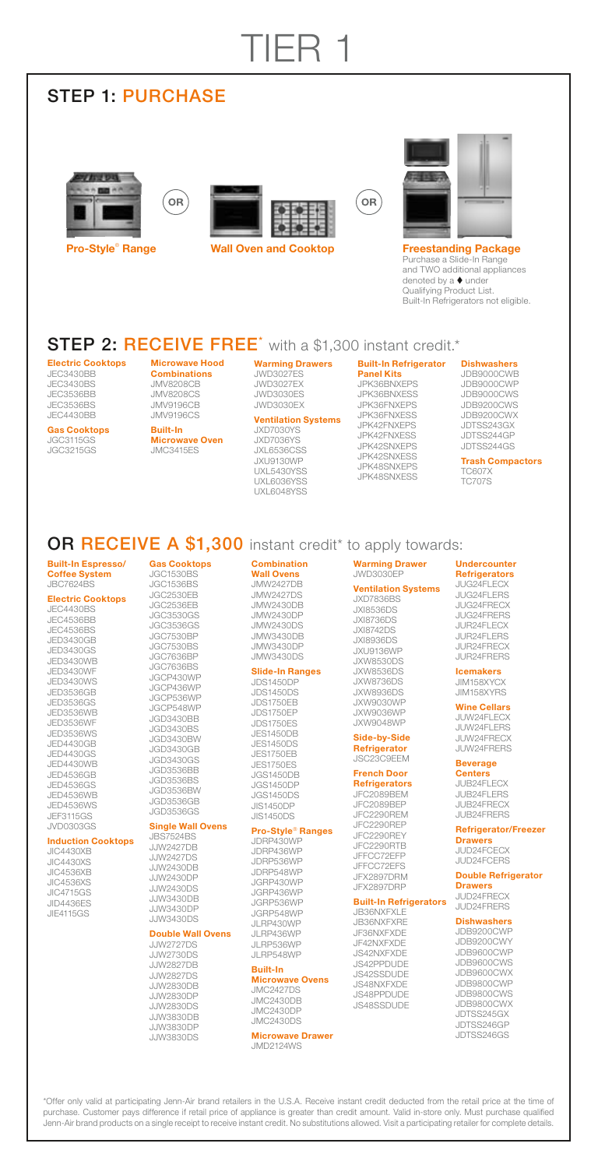# TIER 1

### STEP 1: PURCHASE

# **FEW OR**









**Freestanding Package** Purchase a Slide-In Range and TWO additional appliances denoted by a ♦ under Qualifying Product List. Built-In Refrigerators not eligible.

### **STEP 2: RECEIVE FREE**<sup>\*</sup> with a \$1,300 instant credit.\*

Electric Cooktops JEC3430BB JEC3430BS JEC3536BB JEC3536BS JEC4430BB

Gas Cooktops JGC3115GS JGC3215GS

Microwave Hood **Combinations** JMV8208CB JMV8208CS JMV9196CB JMV9196CS

Built-In Microwave Oven JMC3415ES

### Warming Drawers JWD3027ES JWD3027EX JWD3030ES

### JWD3030EX Ventilation Systems

JXD7030YS JXD7036YS JXL6536CSS JXU9130WP UXL5430YSS UXL6036YSS UXL6048YSS

Built-In Refrigerator Panel Kits JPK36BNXEPS JPK36BNXESS JPK36FNXEPS JPK36FNXESS JPK42FNXEPS JPK42FNXESS JPK42SNXEPS JPK42SNXESS JPK48SNXEPS JPK48SNXESS

**Dishwashers** JDB9000CWB JDB9000CWP

JDB9000CWS JDB9200CWS JDB9200CWX JDTSS243GX JDTSS244GP JDTSS244GS

Trash Compactors TC607 TC707S

### OR RECEIVE A \$1,300 instant credit\* to apply towards:

#### Built-In Espresso/ Coffee System JBC7624BS

### Electric Cooktops

JEC4430BS JEC4536BB JEC4536BS JED3430GB JED3430GS JED3430WB JED3430WF JED3430WS JED3536GB JED3536GS JED3536WB JED3536WF JED3536WS JED4430GB JED4430GS JED4430WB JED4536GB JED4536GS JED4536WB JED4536WS JEF3115GS JVD0303GS

### Induction Cooktops

JIC4430XB JIC4430XS JIC4536XB JIC4536XS JIC4715GS JID4436ES JIE4115GS

### Gas Cooktops JGC1530BS JGC1536BS

JGC2530EB JGC2536EB JGC3530GS JGC3536GS JGC7530BP JGC7530BS JGC7636BP JGC7636BS JGCP430WP JGCP436WP JGCP536WP JGCP548WP JGD3430BB JGD3430BS JGD3430BW JGD3430GB JGD3430GS JGD3536BB JGD3536BS JGD3536BW JGD3536GB JGD3536GS

#### Single Wall Ovens JBS7524BS

JJW2427DB JJW2427DS JJW2430DB JJW2430DP JJW2430DS JJW3430DB JJW3430DP JJW3430DS

#### Double Wall Ovens J. IW2727DS

JJW2730DS JJW2827DB JJW2827DS JJW2830DB JJW2830DP JJW2830DS JJW3830DB JJW3830DP JJW3830DS

### Combination Wall Ovens JMW2427DB

JMW2427DS JMW2430DB JMW2430DP JMW2430DS JMW3430DB JMW3430DP JMW3430DS

### Slide-In Ranges JDS1450DP

JDS1450DS JDS1750EB JDS1750EP JDS1750ES JES1450DB JES1450DS JES1750EB JES1750ES JGS1450DB JGS1450DP JGS1450DS JIS1450DP JIS1450DS

### Pro-Style® Ranges

JDRP430WP JDRP436WP JDRP536WP JDRP548WP JGRP430WP JGRP436WP JGRP536WP JGRP548WP JLRP430WP JLRP436WP JLRP536WP JLRP548WP

### Built-In

Microwave Ovens JMC2427DS JMC2430DB JMC2430DP JMC2430DS

Microwave Drawer JMD2124WS

#### Warming Drawer JWD3030EP

### Ventilation Systems

JXD7836BS JXI8536DS JXI8736DS JXI8742DS JXI8936DS JXU9136WP JXW8530DS JXW8536DS JXW8736DS JXW8936DS JXW9030WP JXW9036WP JXW9048WP

### Side-by-Side Refrigerator JSC23C9EEM

### French Door

Refrigerators JFC2089BEM JFC2089BEP JFC2290REM JFC2290REP JFC2290REY JFC2290RTB JFFCC72EFP JFFCC72EFS JFX2897DRM JFX2897DRP

### Built-In Refrigerators

JB36NXFXLE JB36NXFXRE JF36NXFXDE JF42NXFXDE JS42NXFXDE JS42PPDUDE JS42SSDUDE JS48NXFXDE JS48PPDUDE JS48SSDUDE

### **Undercounter**

Refrigerators JUG24FLECX JUG24FLERS JUG24FRECX JUG24FRERS JUR24FLECX JUR24FLERS JUR24FRECX JUR24FRERS

#### Icemakers JIM158XYCX

JIM158XYRS Wine Cellars

### JUW24FLECX

JUW24FLERS JUW24FRECX JUW24FRERS

#### Beverage **Centers**

JUB24FLECX JUB24FLERS JUB24FRECX JUB24FRERS

### Refrigerator/Freezer **Drawers**

JUD24FCECX JUD24FCERS

Double Refrigerator Drawers<br>JUD24FRECX JUD24FRERS

### **Dishwashers**

JDB9200CWP JDB9200CWY JDB9600CWP JDB9600CWS JDB9600CWX JDB9800CWP JDB9800CWS JDB9800CWX JDTSS245GX JDTSS246GP JDTSS246GS

\*Offer only valid at participating Jenn-Air brand retailers in the U.S.A. Receive instant credit deducted from the retail price at the time of purchase. Customer pays difference if retail price of appliance is greater than credit amount. Valid in-store only. Must purchase qualified Jenn-Air brand products on a single receipt to receive instant credit. No substitutions allowed. Visit a participating retailer for complete details.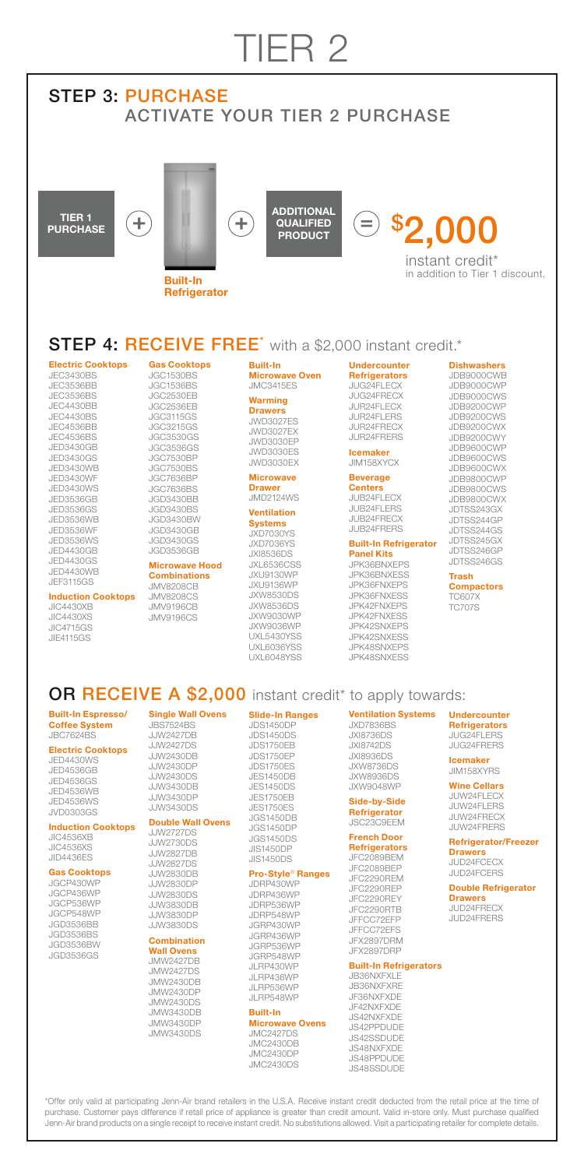## TIER 2

### STEP 3: PURCHASE ACTIVATE YOUR TIER 2 PURCHASE

 $\ddag$ 

TIER 1 **PURCHASE** 



Built-In **Refrigerator** 





instant credit\* in addition to Tier 1 discount.

### **STEP 4: RECEIVE FREE**<sup>\*</sup> with a \$2,000 instant credit.\*

### **ectric Cooktops**

JEC3430BS JEC3536BB JEC3536BS JEC4430BB JEC4430BS JEC4536BB JEC4536BS JED3430GB JED3430GS JED3430WB JED3430WF JED3430WS JED3536GB JED3536GS JED3536WB JED3536WF JED3536WS JED4430GB JED4430GS JED4430WB JEF3115GS

### Induction Cooktops

JIC4430XB JIC4430XS JIC4715GS JIE4115GS

Gas Cooktops JGC1530BS JGC1536BS JGC2530EB JGC2536EB JGC3115GS JGC3215GS JGC3530GS JGC3536GS JGC7530BP JGC7530BS JGC7636BP JGC7636BS JGD3430BB JGD3430BS JGD3430BW JGD3430GB JGD3430GS

### JGD3536GB Microwave Hood Combinations

JMV8208CB JMV8208CS JMV9196CB JMV9196CS Built-In Microwave Oven JMC3415ES

#### **Warming Drawers**

JWD3027ES JWD3027EX JWD3030EP JWD3030ES JWD3030EX

### **Microwave Drawer**

JMD2124WS Ventilation

#### **Systems** JXD7030YS

JXD7036YS JXI8536DS JXL6536CSS JXU9130WP JXU9136WP JXW8530DS JXW8536DS JXW9030WP JXW9036WP **UXL5430YSS** UXL6036YSS UXL6048YSS

#### Undercounter **Refrigerators** JUG24FLECX JUG24FRECX JUR24FLECX

JUR24FLERS JUR24FRECX JUR24FRERS

### Icemaker JIM158XYCX

### Beverage **Centers**

JUB24FLECX JUB24FLERS JUB24FRECX JUB24FRERS

### Built-In Refrigerator Panel Kits

JPK36BNXEPS JPK36BNXESS JPK36FNXEPS JPK36FNXESS JPK42FNXEPS JPK42FNXESS JPK42SNXEPS JPK42SNXESS JPK48SNXEPS **JDK48SNVESS** 

**Dishwashers** JDB9000CWB JDB9000CWP JDB9000CWS JDB9200CWP JDB9200CWS JDB9200CWX JDB9200CWY JDB9600CWP JDB9600CWS JDB9600CWX JDB9800CWP JDB9800CWS JDB9800CWX JDTSS243GX JDTSS244GP JDTSS244GS JDTSS245GX JDTSS246GP JDTSS246GS

### Trash

**Compactors** TC607X TC707S

### OR RECEIVE A \$2,000 instant credit<sup>\*</sup> to apply towards:

Built-In Espresso/ Coffee System JBC7624BS

### Electric Cooktops

JED4430WS JED4536GB JED4536GS JED4536WB JED4536WS JVD0303GS

#### Induction Cooktops JIC4536XB JIC4536XS

JID4436ES Gas Cooktops

### JGCP430WP

JGCP436WP JGCP536WP JGCP548WP JGD3536BB JGD3536BS JGD3536BW JGD3536GS

Single Wall Ovens JBS7524BS JJW2427DB J. IW<sub>2427</sub>DS JJW2430DB JJW2430DP JJW2430DS JJW3430DB JJW3430DP JJW3430DS

### Double Wall Ovens JJW2727DS

JJJW2730DS JJW2827DB JJW2827DS JJW2830DB JJW2830DP JJW2830DS JJW3830DB JJW3830DP JJW3830DS Combination

### Wall Ovens

JMW2427DB JMW2427DS JMW2430DB JMW2430DP JMW2430DS JMW3430DB JMW3430DP JMW3430DS

JDS1450DP JDS1450DS JDS1750EB JDS1750EP JDS1750ES JES1450DB JES1450DS JES1750EB JES1750ES JGS1450DB

Slide-In Ranges

### JGS1450DP JGS1450DS JIS1450DP JIS1450DS

### Pro-Style® Ranges JDRP430WP

JDRP436WP JDRP536WP JDRP548WP JGRP430WP JGRP436WP JGRP536WP JGRP548WP JLRP430WP JLRP436WP JLRP536WP JL RP548WP

### Built-In

Microwave Ovens JMC2427DS

## Side-by-Side

French Door

### **Refrigerators**

JFC2089BEP JFX2897DRP

### Built-In Refrigerators

**JB36NXFXLE** 

Undercounter **Refrigerators** JUG24FLERS JUG24FRERS

### **Icemaker** JIM158XYRS

#### Wine Cellars JUW24FLECX JUW24FLERS JUW24FRECX

JUW24FRERS

### Refrigerator/Freezer **Drawers**

JUD24FCECX JUD24FCERS

### Double Refrigerator Drawers<br>JUD24FRECX

JUD24FRERS

#### JMC2430DB JMC2430DP JMC2430DS JS48NXFXDE JS48PPDUDE JS48SSDUDE

\*Offer only valid at participating Jenn-Air brand retailers in the U.S.A. Receive instant credit deducted from the retail price at the time of purchase. Customer pays difference if retail price of appliance is greater than credit amount. Valid in-store only. Must purchase qualified Jenn-Air brand products on a single receipt to receive instant credit. No substitutions allowed. Visit a participating retailer for complete details.

Ventilation Systems JXD7836BS JXI8736DS JXI8742DS JXI8936DS JXW8736DS JXW8936DS

JFC2290REM JFC2290REP JFC2290REY JFC2290RTB JFFCC72EFP JFFCC72EFS JFX2897DRM

JB36NXFXRE JF36NXFXDE JF42NXFXDE JS42NXFXDE JS42PPDUDE JS42SSDUDE

JXW9048WP Refrigerator JSC23C9EEM

### JFC2089BEM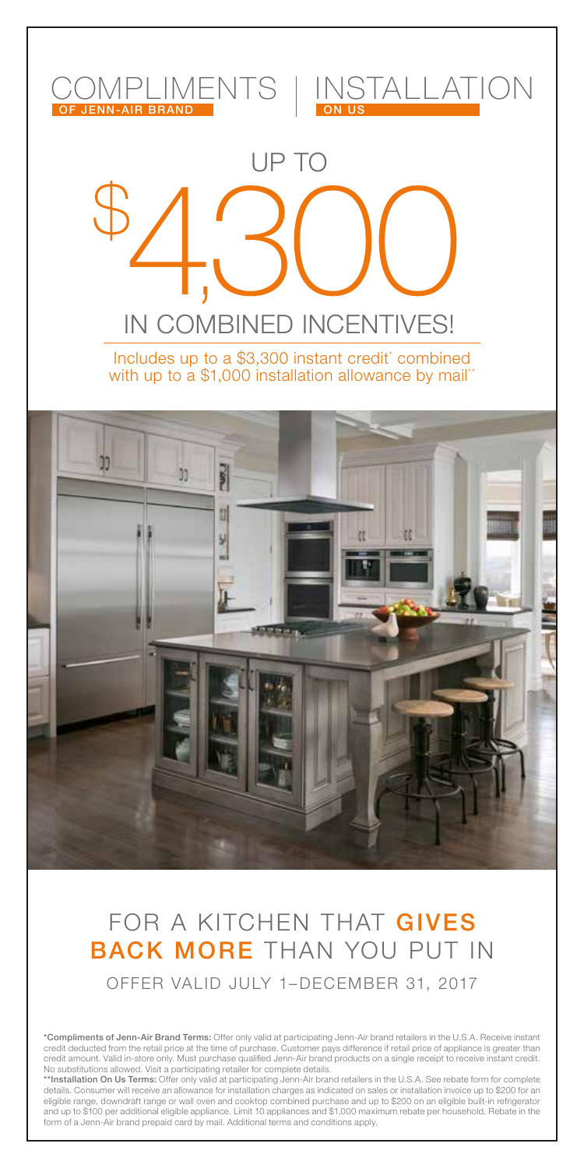

## FOR A KITCHEN THAT GIVES BACK MORE THAN YOU PUT IN OFFER VALID JULY 1–DECEMBER 31, 2017

\***Compliments of Jenn-Air Brand Terms:** Offer only valid at participating Jenn-Air brand retailers in the U.S.A. Receive instant<br>credit deducted from the retail price at the time of purchase. Customer pays difference if re credit amount. Valid in-store only. Must purchase qualified Jenn-Air brand products on a single receipt to receive instant credit.

No substitutions allowed. Visit a participating retailer for complete details.<br>\*\*In**stallation On Us Terms:** Offer only valid at participating Jenn-Air brand retailers in the U.S.A. See rebate form for complete<br>details. Co eligible range, downdraft range or wall oven and cooktop combined purchase and up to \$200 on an eligible built-in refrigerator and up to \$100 per additional eligible appliance. Limit 10 appliances and \$1,000 maximum rebate per household. Rebate in the<br>form of a Jenn-Air brand prepaid card by mail. Additional terms and conditions apply.